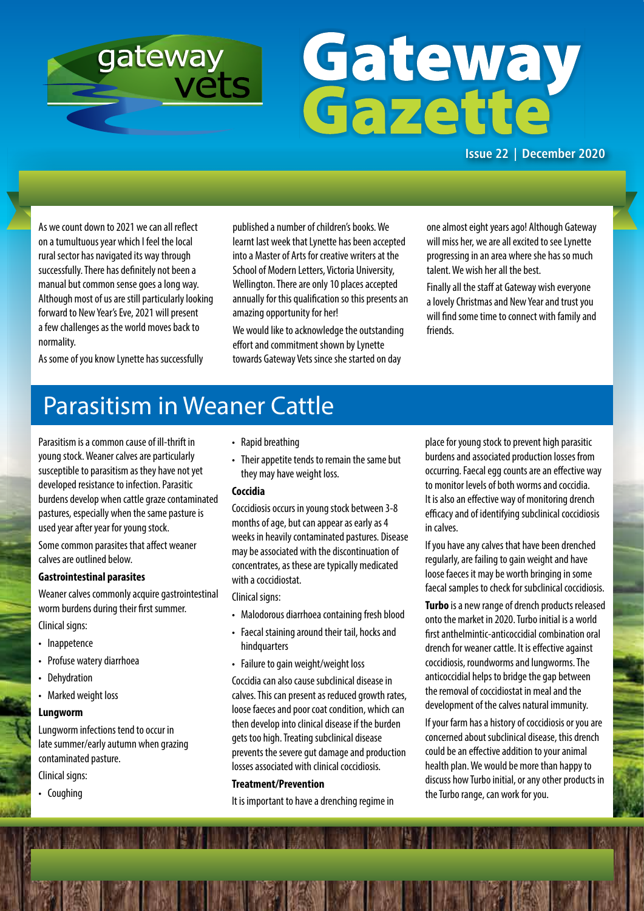

# Gateway<br>Gazette

**Issue 22 | December 2020**

As we count down to 2021 we can all reflect on a tumultuous year which I feel the local rural sector has navigated its way through successfully. There has definitely not been a manual but common sense goes a long way. Although most of us are still particularly looking forward to New Year's Eve, 2021 will present a few challenges as the world moves back to normality.

published a number of children's books. We learnt last week that Lynette has been accepted into a Master of Arts for creative writers at the School of Modern Letters, Victoria University, Wellington. There are only 10 places accepted annually for this qualification so this presents an amazing opportunity for her!

We would like to acknowledge the outstanding effort and commitment shown by Lynette towards Gateway Vets since she started on day

one almost eight years ago! Although Gateway will miss her, we are all excited to see Lynette progressing in an area where she has so much talent. We wish her all the best.

Finally all the staff at Gateway wish everyone a lovely Christmas and New Year and trust you will find some time to connect with family and friends.

As some of you know Lynette has successfully

# Parasitism in Weaner Cattle

Parasitism is a common cause of ill-thrift in young stock. Weaner calves are particularly susceptible to parasitism as they have not yet developed resistance to infection. Parasitic burdens develop when cattle graze contaminated pastures, especially when the same pasture is used year after year for young stock.

Some common parasites that affect weaner calves are outlined below.

## **Gastrointestinal parasites**

Weaner calves commonly acquire gastrointestinal worm burdens during their first summer. Clinical signs:

- Inappetence
- Profuse watery diarrhoea
- Dehydration
- Marked weight loss

## **Lungworm**

Lungworm infections tend to occur in late summer/early autumn when grazing contaminated pasture.

Clinical signs:

• Coughing

- Rapid breathing
- Their appetite tends to remain the same but they may have weight loss.

## **Coccidia**

Coccidiosis occurs in young stock between 3-8 months of age, but can appear as early as 4 weeks in heavily contaminated pastures. Disease may be associated with the discontinuation of concentrates, as these are typically medicated with a coccidiostat.

Clinical signs:

- Malodorous diarrhoea containing fresh blood
- Faecal staining around their tail, hocks and hindquarters
- Failure to gain weight/weight loss

Coccidia can also cause subclinical disease in calves. This can present as reduced growth rates, loose faeces and poor coat condition, which can then develop into clinical disease if the burden gets too high. Treating subclinical disease prevents the severe gut damage and production losses associated with clinical coccidiosis.

## **Treatment/Prevention**

It is important to have a drenching regime in

place for young stock to prevent high parasitic burdens and associated production losses from occurring. Faecal egg counts are an effective way to monitor levels of both worms and coccidia. It is also an effective way of monitoring drench efficacy and of identifying subclinical coccidiosis in calves.

If you have any calves that have been drenched regularly, are failing to gain weight and have loose faeces it may be worth bringing in some faecal samples to check for subclinical coccidiosis.

**Turbo** is a new range of drench products released onto the market in 2020. Turbo initial is a world first anthelmintic-anticoccidial combination oral drench for weaner cattle. It is effective against coccidiosis, roundworms and lungworms. The anticoccidial helps to bridge the gap between the removal of coccidiostat in meal and the development of the calves natural immunity.

If your farm has a history of coccidiosis or you are concerned about subclinical disease, this drench could be an effective addition to your animal health plan. We would be more than happy to discuss how Turbo initial, or any other products in the Turbo range, can work for you.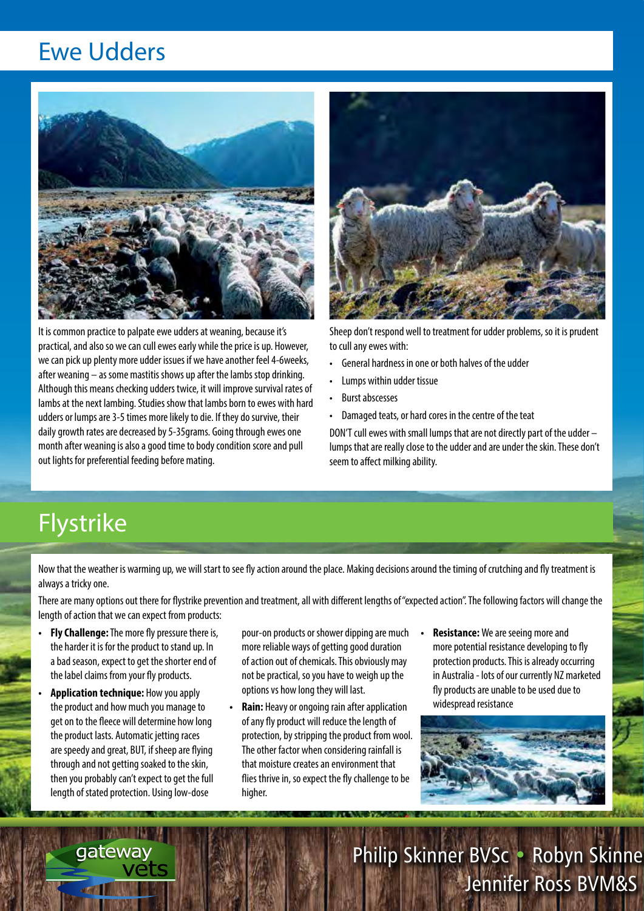## Ewe Udders



It is common practice to palpate ewe udders at weaning, because it's practical, and also so we can cull ewes early while the price is up. However, we can pick up plenty more udder issues if we have another feel 4-6weeks, after weaning – as some mastitis shows up after the lambs stop drinking. Although this means checking udders twice, it will improve survival rates of lambs at the next lambing. Studies show that lambs born to ewes with hard udders or lumps are 3-5 times more likely to die. If they do survive, their daily growth rates are decreased by 5-35grams. Going through ewes one month after weaning is also a good time to body condition score and pull out lights for preferential feeding before mating.



Sheep don't respond well to treatment for udder problems, so it is prudent to cull any ewes with:

- General hardness in one or both halves of the udder
- Lumps within udder tissue
- Burst abscesses
- Damaged teats, or hard cores in the centre of the teat

DON'T cull ewes with small lumps that are not directly part of the udder – lumps that are really close to the udder and are under the skin. These don't seem to affect milking ability.

# Flystrike

Now that the weather is warming up, we will start to see fly action around the place. Making decisions around the timing of crutching and fly treatment is always a tricky one.

There are many options out there for flystrike prevention and treatment, all with different lengths of "expected action". The following factors will change the length of action that we can expect from products:

- **Fly Challenge:** The more fly pressure there is, the harder it is for the product to stand up. In a bad season, expect to get the shorter end of the label claims from your fly products.
- **Application technique:** How you apply the product and how much you manage to get on to the fleece will determine how long the product lasts. Automatic jetting races are speedy and great, BUT, if sheep are flying through and not getting soaked to the skin, then you probably can't expect to get the full length of stated protection. Using low-dose

gateway

- pour-on products or shower dipping are much more reliable ways of getting good duration of action out of chemicals. This obviously may not be practical, so you have to weigh up the options vs how long they will last.
- **Rain:** Heavy or ongoing rain after application of any fly product will reduce the length of protection, by stripping the product from wool. The other factor when considering rainfall is that moisture creates an environment that flies thrive in, so expect the fly challenge to be higher.
- **Resistance:** We are seeing more and more potential resistance developing to fly protection products. This is already occurring in Australia - lots of our currently NZ marketed fly products are unable to be used due to widespread resistance



Philip Skinner BVSc • Robyn Skinne Jennifer Ross BVM&S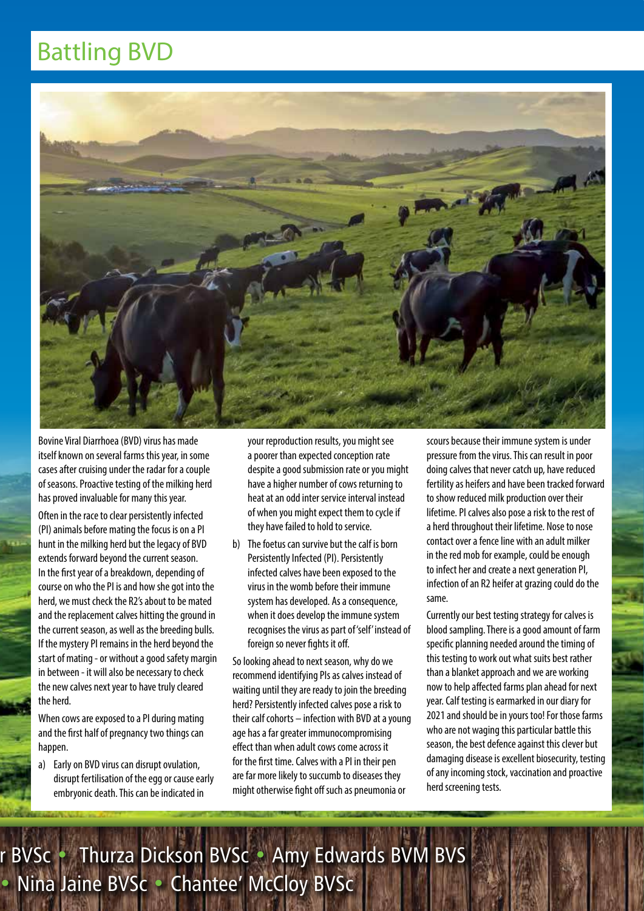# Battling BVD



Bovine Viral Diarrhoea (BVD) virus has made itself known on several farms this year, in some cases after cruising under the radar for a couple of seasons. Proactive testing of the milking herd has proved invaluable for many this year.

Often in the race to clear persistently infected (PI) animals before mating the focus is on a PI hunt in the milking herd but the legacy of BVD extends forward beyond the current season. In the first year of a breakdown, depending of course on who the PI is and how she got into the herd, we must check the R2's about to be mated and the replacement calves hitting the ground in the current season, as well as the breeding bulls. If the mystery PI remains in the herd beyond the start of mating - or without a good safety margin in between - it will also be necessary to check the new calves next year to have truly cleared the herd.

When cows are exposed to a PI during mating and the first half of pregnancy two things can happen.

a) Early on BVD virus can disrupt ovulation, disrupt fertilisation of the egg or cause early embryonic death. This can be indicated in

your reproduction results, you might see a poorer than expected conception rate despite a good submission rate or you might have a higher number of cows returning to heat at an odd inter service interval instead of when you might expect them to cycle if they have failed to hold to service.

b) The foetus can survive but the calf is born Persistently Infected (PI). Persistently infected calves have been exposed to the virus in the womb before their immune system has developed. As a consequence, when it does develop the immune system recognises the virus as part of 'self' instead of foreign so never fights it off.

So looking ahead to next season, why do we recommend identifying PIs as calves instead of waiting until they are ready to join the breeding herd? Persistently infected calves pose a risk to their calf cohorts – infection with BVD at a young age has a far greater immunocompromising effect than when adult cows come across it for the first time. Calves with a PI in their pen are far more likely to succumb to diseases they might otherwise fight off such as pneumonia or

scours because their immune system is under pressure from the virus. This can result in poor doing calves that never catch up, have reduced fertility as heifers and have been tracked forward to show reduced milk production over their lifetime. PI calves also pose a risk to the rest of a herd throughout their lifetime. Nose to nose contact over a fence line with an adult milker in the red mob for example, could be enough to infect her and create a next generation PI, infection of an R2 heifer at grazing could do the same.

Currently our best testing strategy for calves is blood sampling. There is a good amount of farm specific planning needed around the timing of this testing to work out what suits best rather than a blanket approach and we are working now to help affected farms plan ahead for next year. Calf testing is earmarked in our diary for 2021 and should be in yours too! For those farms who are not waging this particular battle this season, the best defence against this clever but damaging disease is excellent biosecurity, testing of any incoming stock, vaccination and proactive herd screening tests.

r BVSc • Thurza Dickson BVSc • Amy Edwards BVM BVS • Nina Jaine BVSc • Chantee' McCloy BVSc